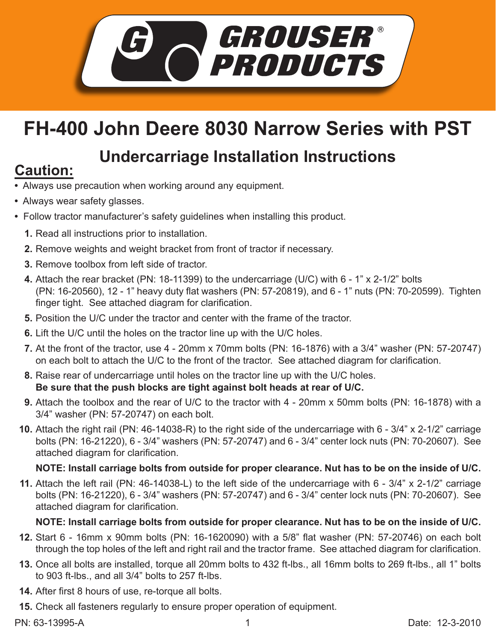

## **FH-400 John Deere 8030 Narrow Series with PST**

# **Undercarriage Installation Instructions Caution:**

- Always use precaution when working around any equipment.
- Always wear safety glasses.
- Follow tractor manufacturer's safety guidelines when installing this product.
	- **1.** Read all instructions prior to installation.
	- 2. Remove weights and weight bracket from front of tractor if necessary.
	- **3.** Remove toolbox from left side of tractor.
	- Attach the rear bracket (PN: 18-11399) to the undercarriage (U/C) with 6 1" x 2-1/2" bolts **4.** (PN: 16-20560), 12 - 1" heavy duty flat washers (PN: 57-20819), and 6 - 1" nuts (PN: 70-20599). Tighten finger tight. See attached diagram for clarification.
	- **5.** Position the U/C under the tractor and center with the frame of the tractor.
	- **6.** Lift the U/C until the holes on the tractor line up with the U/C holes.
	- At the front of the tractor, use 4 20mm x 70mm bolts (PN: 16-1876) with a 3/4" washer (PN: 57-20747) **7.** on each bolt to attach the U/C to the front of the tractor. See attached diagram for clarification.
	- Raise rear of undercarriage until holes on the tractor line up with the U/C holes. **8. Be sure that the push blocks are tight against bolt heads at rear of U/C.**
	- Attach the toolbox and the rear of U/C to the tractor with 4 20mm x 50mm bolts (PN: 16-1878) with a **9.** 3/4" washer (PN: 57-20747) on each bolt.
	- Attach the right rail (PN: 46-14038-R) to the right side of the undercarriage with 6 3/4" x 2-1/2" carriage **10.** bolts (PN: 16-21220), 6 - 3/4" washers (PN: 57-20747) and 6 - 3/4" center lock nuts (PN: 70-20607). See attached diagram for clarification.

## **NOTE: Install carriage bolts from outside for proper clearance. Nut has to be on the inside of U/C.**

Attach the left rail (PN: 46-14038-L) to the left side of the undercarriage with 6 - 3/4" x 2-1/2" carriage **11.** bolts (PN: 16-21220), 6 - 3/4" washers (PN: 57-20747) and 6 - 3/4" center lock nuts (PN: 70-20607). See attached diagram for clarification.

## **NOTE: Install carriage bolts from outside for proper clearance. Nut has to be on the inside of U/C.**

- **12.** Start 6 16mm x 90mm bolts (PN: 16-1620090) with a 5/8" flat washer (PN: 57-20746) on each bolt through the top holes of the left and right rail and the tractor frame. See attached diagram for clarification.
- **13.** Once all bolts are installed, torque all 20mm bolts to 432 ft-lbs., all 16mm bolts to 269 ft-lbs., all 1" bolts to 903 ft-lbs., and all 3/4" bolts to 257 ft-lbs.
- After first 8 hours of use, re-torque all bolts. **14.**
- **15.** Check all fasteners regularly to ensure proper operation of equipment.